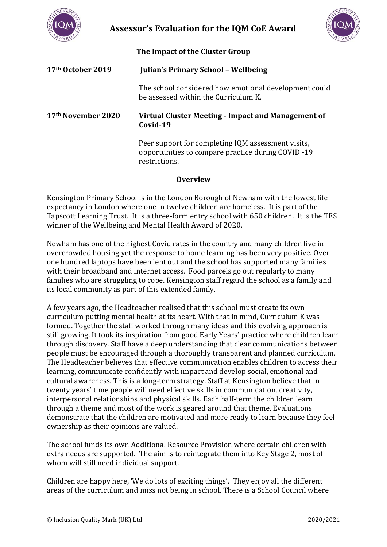

**Assessor's Evaluation for the IQM CoE Award** 



**The Impact of the Cluster Group**

| 17 <sup>th</sup> October 2019  | <b>Julian's Primary School - Wellbeing</b>                                                                                |
|--------------------------------|---------------------------------------------------------------------------------------------------------------------------|
|                                | The school considered how emotional development could<br>be assessed within the Curriculum K.                             |
| 17 <sup>th</sup> November 2020 | Virtual Cluster Meeting - Impact and Management of<br>Covid-19                                                            |
|                                | Peer support for completing IQM assessment visits,<br>opportunities to compare practice during COVID -19<br>restrictions. |

## **Overview**

Kensington Primary School is in the London Borough of Newham with the lowest life expectancy in London where one in twelve children are homeless. It is part of the Tapscott Learning Trust. It is a three-form entry school with 650 children. It is the TES winner of the Wellbeing and Mental Health Award of 2020.

Newham has one of the highest Covid rates in the country and many children live in overcrowded housing yet the response to home learning has been very positive. Over one hundred laptops have been lent out and the school has supported many families with their broadband and internet access. Food parcels go out regularly to many families who are struggling to cope. Kensington staff regard the school as a family and its local community as part of this extended family.

A few years ago, the Headteacher realised that this school must create its own curriculum putting mental health at its heart. With that in mind, Curriculum K was formed. Together the staff worked through many ideas and this evolving approach is still growing. It took its inspiration from good Early Years' practice where children learn through discovery. Staff have a deep understanding that clear communications between people must be encouraged through a thoroughly transparent and planned curriculum. The Headteacher believes that effective communication enables children to access their learning, communicate confidently with impact and develop social, emotional and cultural awareness. This is a long-term strategy. Staff at Kensington believe that in twenty years' time people will need effective skills in communication, creativity, interpersonal relationships and physical skills. Each half-term the children learn through a theme and most of the work is geared around that theme. Evaluations demonstrate that the children are motivated and more ready to learn because they feel ownership as their opinions are valued.

The school funds its own Additional Resource Provision where certain children with extra needs are supported. The aim is to reintegrate them into Key Stage 2, most of whom will still need individual support.

Children are happy here, 'We do lots of exciting things'. They enjoy all the different areas of the curriculum and miss not being in school. There is a School Council where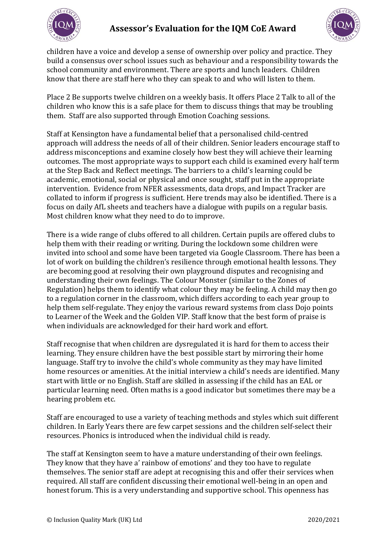



children have a voice and develop a sense of ownership over policy and practice. They build a consensus over school issues such as behaviour and a responsibility towards the school community and environment. There are sports and lunch leaders. Children know that there are staff here who they can speak to and who will listen to them.

Place 2 Be supports twelve children on a weekly basis. It offers Place 2 Talk to all of the children who know this is a safe place for them to discuss things that may be troubling them. Staff are also supported through Emotion Coaching sessions.

Staff at Kensington have a fundamental belief that a personalised child-centred approach will address the needs of all of their children. Senior leaders encourage staff to address misconceptions and examine closely how best they will achieve their learning outcomes. The most appropriate ways to support each child is examined every half term at the Step Back and Reflect meetings. The barriers to a child's learning could be academic, emotional, social or physical and once sought, staff put in the appropriate intervention. Evidence from NFER assessments, data drops, and Impact Tracker are collated to inform if progress is sufficient. Here trends may also be identified. There is a focus on daily AfL sheets and teachers have a dialogue with pupils on a regular basis. Most children know what they need to do to improve.

There is a wide range of clubs offered to all children. Certain pupils are offered clubs to help them with their reading or writing. During the lockdown some children were invited into school and some have been targeted via Google Classroom. There has been a lot of work on building the children's resilience through emotional health lessons. They are becoming good at resolving their own playground disputes and recognising and understanding their own feelings. The Colour Monster (similar to the Zones of Regulation) helps them to identify what colour they may be feeling. A child may then go to a regulation corner in the classroom, which differs according to each year group to help them self-regulate. They enjoy the various reward systems from class Dojo points to Learner of the Week and the Golden VIP. Staff know that the best form of praise is when individuals are acknowledged for their hard work and effort.

Staff recognise that when children are dysregulated it is hard for them to access their learning. They ensure children have the best possible start by mirroring their home language. Staff try to involve the child's whole community as they may have limited home resources or amenities. At the initial interview a child's needs are identified. Many start with little or no English. Staff are skilled in assessing if the child has an EAL or particular learning need. Often maths is a good indicator but sometimes there may be a hearing problem etc.

Staff are encouraged to use a variety of teaching methods and styles which suit different children. In Early Years there are few carpet sessions and the children self-select their resources. Phonics is introduced when the individual child is ready.

The staff at Kensington seem to have a mature understanding of their own feelings. They know that they have a' rainbow of emotions' and they too have to regulate themselves. The senior staff are adept at recognising this and offer their services when required. All staff are confident discussing their emotional well-being in an open and honest forum. This is a very understanding and supportive school. This openness has